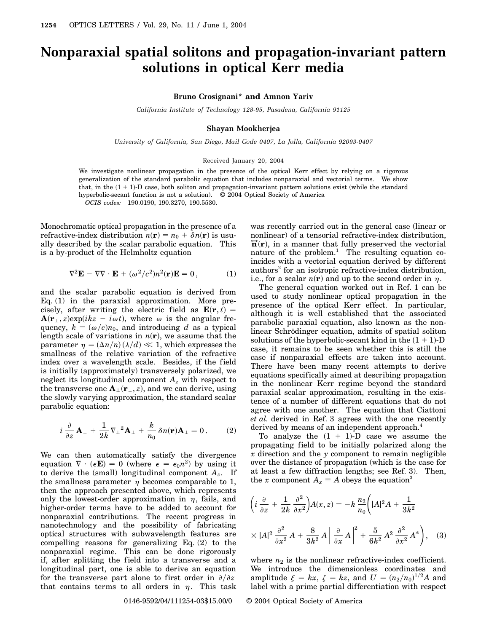# **Nonparaxial spatial solitons and propagation-invariant pattern solutions in optical Kerr media**

## **Bruno Crosignani\* and Amnon Yariv**

*California Institute of Technology 128-95, Pasadena, California 91125*

### **Shayan Mookherjea**

*University of California, San Diego, Mail Code 0407, La Jolla, California 92093-0407*

#### Received January 20, 2004

We investigate nonlinear propagation in the presence of the optical Kerr effect by relying on a rigorous generalization of the standard parabolic equation that includes nonparaxial and vectorial terms. We show that, in the  $(1 + 1)$ -D case, both soliton and propagation-invariant pattern solutions exist (while the standard hyperbolic-secant function is not a solution). © 2004 Optical Society of America *OCIS codes:* 190.0190, 190.3270, 190.5530.

Monochromatic optical propagation in the presence of a refractive-index distribution  $n(\mathbf{r}) = n_0 + \delta n(\mathbf{r})$  is usually described by the scalar parabolic equation. This is a by-product of the Helmholtz equation

$$
\nabla^2 \mathbf{E} - \nabla \nabla \cdot \mathbf{E} + (\omega^2/c^2) n^2(\mathbf{r}) \mathbf{E} = 0, \qquad (1)
$$

and the scalar parabolic equation is derived from Eq.  $(1)$  in the paraxial approximation. More precisely, after writing the electric field as  $\mathbf{E}(\mathbf{r}, t) =$  ${\bf A}({\bf r}_{\perp},z)$  exp(*ikz* - *i* $\omega t$ ), where  $\omega$  is the angular frequency,  $k = (\omega/c)n_0$ , and introducing *d* as a typical length scale of variations in  $n(\mathbf{r})$ , we assume that the parameter  $\eta = (\Delta n/n) (\lambda/d) \ll 1$ , which expresses the smallness of the relative variation of the refractive index over a wavelength scale. Besides, if the field is initially (approximately) transversely polarized, we neglect its longitudinal component *Az* with respect to the transverse one  $\mathbf{A}_{\perp}(\mathbf{r}_{\perp},z)$ , and we can derive, using the slowly varying approximation, the standard scalar parabolic equation:

$$
i\frac{\partial}{\partial z}\mathbf{A}_{\perp} + \frac{1}{2k}\nabla_{\perp}^{2}\mathbf{A}_{\perp} + \frac{k}{n_{0}}\delta n(\mathbf{r})\mathbf{A}_{\perp} = 0.
$$
 (2)

We can then automatically satisfy the divergence equation  $\nabla \cdot (\epsilon \mathbf{E}) = 0$  (where  $\epsilon = \epsilon_0 n^2$ ) by using it to derive the (small) longitudinal component  $A_z$ . If the smallness parameter  $\eta$  becomes comparable to 1, then the approach presented above, which represents only the lowest-order approximation in  $\eta$ , fails, and higher-order terms have to be added to account for nonparaxial contributions. The recent progress in nanotechnology and the possibility of fabricating optical structures with subwavelength features are compelling reasons for generalizing Eq. (2) to the nonparaxial regime. This can be done rigorously if, after splitting the field into a transverse and a longitudinal part, one is able to derive an equation for the transverse part alone to first order in  $\partial/\partial z$ that contains terms to all orders in  $\eta$ . This task was recently carried out in the general case (linear or nonlinear) of a tensorial refractive-index distribution,  $\overrightarrow{n}(\mathbf{r})$ , in a manner that fully preserved the vectorial nature of the problem.<sup>1</sup> The resulting equation coincides with a vectorial equation derived by different authors<sup>2</sup> for an isotropic refractive-index distribution, i.e., for a scalar  $n(\mathbf{r})$  and up to the second order in  $\eta$ .

The general equation worked out in Ref. 1 can be used to study nonlinear optical propagation in the presence of the optical Kerr effect. In particular, although it is well established that the associated parabolic paraxial equation, also known as the nonlinear Schrödinger equation, admits of spatial soliton solutions of the hyperbolic-secant kind in the  $(1 + 1)$ -D case, it remains to be seen whether this is still the case if nonparaxial effects are taken into account. There have been many recent attempts to derive equations specifically aimed at describing propagation in the nonlinear Kerr regime beyond the standard paraxial scalar approximation, resulting in the existence of a number of different equations that do not agree with one another. The equation that Ciattoni *et al.* derived in Ref. 3 agrees with the one recently derived by means of an independent approach.<sup>4</sup>

To analyze the  $(1 + 1)$ -D case we assume the propagating field to be initially polarized along the *x* direction and the *y* component to remain negligible over the distance of propagation (which is the case for at least a few diffraction lengths; see Ref. 3). Then, the *x* component  $A_x \equiv A$  obeys the equation<sup>3</sup>

$$
\left(i\frac{\partial}{\partial z} + \frac{1}{2k}\frac{\partial^2}{\partial x^2}\right)A(x, z) = -k\frac{n_2}{n_0}\left(|A|^2A + \frac{1}{3k^2}\right)
$$

$$
\times |A|^2 \frac{\partial^2}{\partial x^2}A + \frac{8}{3k^2}A\left|\frac{\partial}{\partial x}A\right|^2 + \frac{5}{6k^2}A^2\frac{\partial^2}{\partial x^2}A^*\right), \quad (3)
$$

where  $n_2$  is the nonlinear refractive-index coefficient. We introduce the dimensionless coordinates and amplitude  $\xi = kx$ ,  $\zeta = kz$ , and  $U = (n_2/n_0)^{1/2}A$  and label with a prime partial differentiation with respect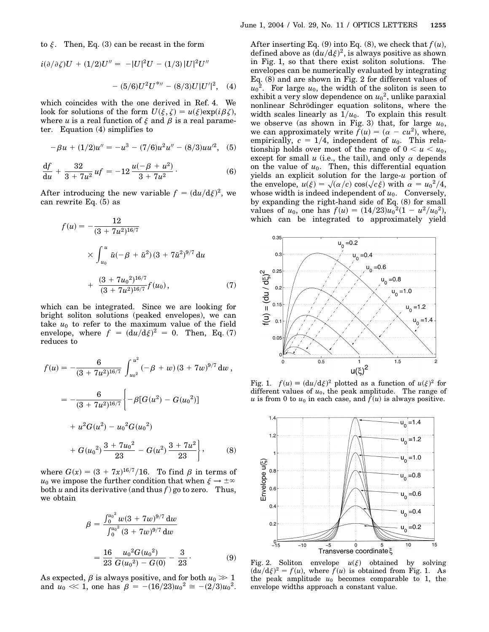$$
i(\partial/\partial \zeta)U + (1/2)U'' = -|U|^2U - (1/3)|U|^2U''
$$

$$
- (5/6)U^2U^{*} - (8/3)U|U'|^2, \quad (4)
$$

which coincides with the one derived in Ref. 4. We look for solutions of the form  $U(\xi, \zeta) = u(\xi) \exp(i \beta \zeta),$ where *u* is a real function of  $\xi$  and  $\beta$  is a real parameter. Equation (4) simplifies to

$$
-\beta u + (1/2)u'' = -u^3 - (7/6)u^2u'' - (8/3)uu'^2, (5)
$$

$$
\frac{\mathrm{d}f}{\mathrm{d}u} + \frac{32}{3+7u^2}uf = -12\frac{u(-\beta+u^2)}{3+7u^2}.\tag{6}
$$

After introducing the new variable  $f = (du/d\xi)^2$ , we can rewrite Eq. (5) as

$$
f(u) = -\frac{12}{(3 + 7u^2)^{16/7}}
$$
  
 
$$
\times \int_{u_0}^{u} \tilde{u}(-\beta + \tilde{u}^2) (3 + 7\tilde{u}^2)^{9/7} du
$$
  
 
$$
+ \frac{(3 + 7u_0^2)^{16/7}}{(3 + 7u^2)^{16/7}} f(u_0), \qquad (7)
$$

which can be integrated. Since we are looking for bright soliton solutions (peaked envelopes), we can take  $u_0$  to refer to the maximum value of the field envelope, where  $f = (du/d\xi)^2 = 0$ . Then, Eq. (7) reduces to

$$
f(u) = -\frac{6}{(3+7u^2)^{16/7}} \int_{u_0^2}^{u^2} (-\beta + w) (3+7w)^{9/7} dw,
$$
  

$$
= -\frac{6}{(3+7u^2)^{16/7}} \left\{ -\beta [G(u^2) - G(u_0^2)] + u^2 G(u^2) - u_0^2 G(u_0^2) + G(u_0^2) \frac{3+7u_0^2}{23} - G(u^2) \frac{3+7u^2}{23} \right\}, \qquad (8)
$$

where  $G(x) = (3 + 7x)^{16/7}/16$ . To find  $\beta$  in terms of  $u_0$  we impose the further condition that when  $\xi \to \pm \infty$ both  $u$  and its derivative (and thus  $f$ ) go to zero. Thus, we obtain

$$
\beta = \frac{\int_0^{u_0^2} w(3 + 7w)^{9/7} dw}{\int_0^{u_0^2} (3 + 7w)^{9/7} dw}
$$

$$
= \frac{16}{23} \frac{u_0^2 G(u_0^2)}{G(u_0^2) - G(0)} - \frac{3}{23}.
$$
(9)

As expected,  $\beta$  is always positive, and for both  $u_0 \gg 1$ and  $u_0 \ll 1$ , one has  $\beta = -(16/23)u_0^2 \approx -(2/3)u_0^2$ .

After inserting Eq.  $(9)$  into Eq.  $(8)$ , we check that  $f(u)$ , defined above as  $(\mathrm{d} u/\mathrm{d}\xi)^2$ , is always positive as shown in Fig. 1, so that there exist soliton solutions. The envelopes can be numerically evaluated by integrating Eq. (8) and are shown in Fig. 2 for different values of  $u_0^2$ . For large  $u_0$ , the width of the soliton is seen to exhibit a very slow dependence on  $u_0{}^2$ , unlike paraxial nonlinear Schrödinger equation solitons, where the width scales linearly as  $1/u_0$ . To explain this result we observe (as shown in Fig. 3) that, for large  $u_0$ , we can approximately write  $f(u) = (\alpha - cu^2)$ , where, empirically,  $c = 1/4$ , independent of  $u_0$ . This relationship holds over most of the range of  $0 < u < u_0$ , except for small  $u$  (i.e., the tail), and only  $\alpha$  depends on the value of  $u_0$ . Then, this differential equation yields an explicit solution for the large-*u* portion of p yields an explicit solution for the large-*u* portion of<br>the envelope,  $u(\xi) = \sqrt{(\alpha/c)} \cos(\sqrt{c \xi})$  with  $\alpha = u_0^2/4$ , whose width is indeed independent of  $u_0$ . Conversely, by expanding the right-hand side of Eq. (8) for small values of  $u_0$ , one has  $f(u) = (14/23)u_0^2(1 - u^2/u_0^2)$ , which can be integrated to approximately yield



Fig. 1.  $f(u) \equiv (du/d\xi)^2$  plotted as a function of  $u(\xi)^2$  for different values of  $u_0$ , the peak amplitude. The range of *u* is from 0 to  $u_0$  in each case, and  $f(u)$  is always positive.



Fig. 2. Soliton envelope  $u(\xi)$  obtained by solving  $(du/d\xi)^2 = f(u)$ , where  $f(u)$  is obtained from Fig. 1. As the peak amplitude  $u_0$  becomes comparable to 1, the envelope widths approach a constant value.